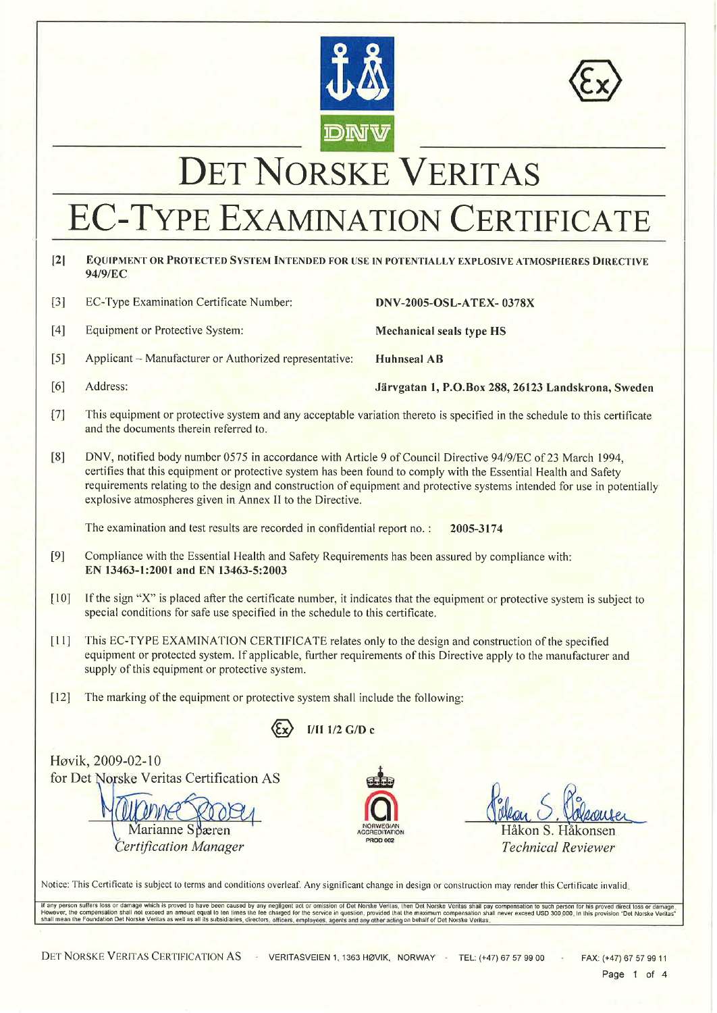



## DET NORSKE VERITAS

# EC-TYPE EXAMINATION CERTIFICATE

#### $\sqrt{2}$ EQUIPMENT OR PROTECTED SYSTEM INTENDED FOR USE IN POTENTIALLY EXPLOSIVE ATMOSPHERES DIRECTIVE 94/9/EC

| $\lceil 3 \rceil$ | EC-Type Examination Certificate Number:                | <b>DNV-2005-OSL-ATEX-0378X</b>                     |
|-------------------|--------------------------------------------------------|----------------------------------------------------|
| [4]               | Equipment or Protective System:                        | <b>Mechanical seals type HS</b>                    |
| $\lceil 5 \rceil$ | Applicant – Manufacturer or Authorized representative: | <b>Huhnseal AB</b>                                 |
| [6]               | Address:                                               | Järvgatan 1, P.O.Box 288, 26123 Landskrona, Sweden |

- $[7]$ This equipment or protective system and any acceptable variation thereto is specified in the schedule to this certificate and the documents therein referred to.
- $\lceil 8 \rceil$ DNV, notified body number 0575 in accordance with Article 9 of Council Directive 94/9/EC of 23 March 1994, certifies that this equipment or protective system has been found to comply with the Essential Health and Safety requirements relating to the design and construction of equipment and protective systems intended for use in potentially explosive atmospheres given in Annex II to the Directive.

The examination and test results are recorded in confidential report no.: 2005-3174

- $[9]$ Compliance with the Essential Health and Safety Requirements has been assured by compliance with: EN 13463-1:2001 and EN 13463-5:2003
- $[10]$ If the sign "X" is placed after the certificate number, it indicates that the equipment or protective system is subject to special conditions for safe use specified in the schedule to this certificate.
- $\lceil 11 \rceil$ This EC-TYPE EXAMINATION CERTIFICATE relates only to the design and construction of the specified equipment or protected system. If applicable, further requirements of this Directive apply to the manufacturer and supply of this equipment or protective system.
- [12] The marking of the equipment or protective system shall include the following:



Høvik, 2009-02-10 for Det Norske Veritas Certification AS

Marianne Spæren

**Certification Manager** 



Håkon S. Håkonsen **Technical Reviewer** 

Notice: This Certificate is subject to terms and conditions overleaf. Any significant change in design or construction may render this Certificate invalid.

If any person suffers loss or damage which is proved to have been caused by any negligent act or omission of Det Norske Veritas, then Det Norske Veritas shall pay compensation to such person for his proved direct loss or d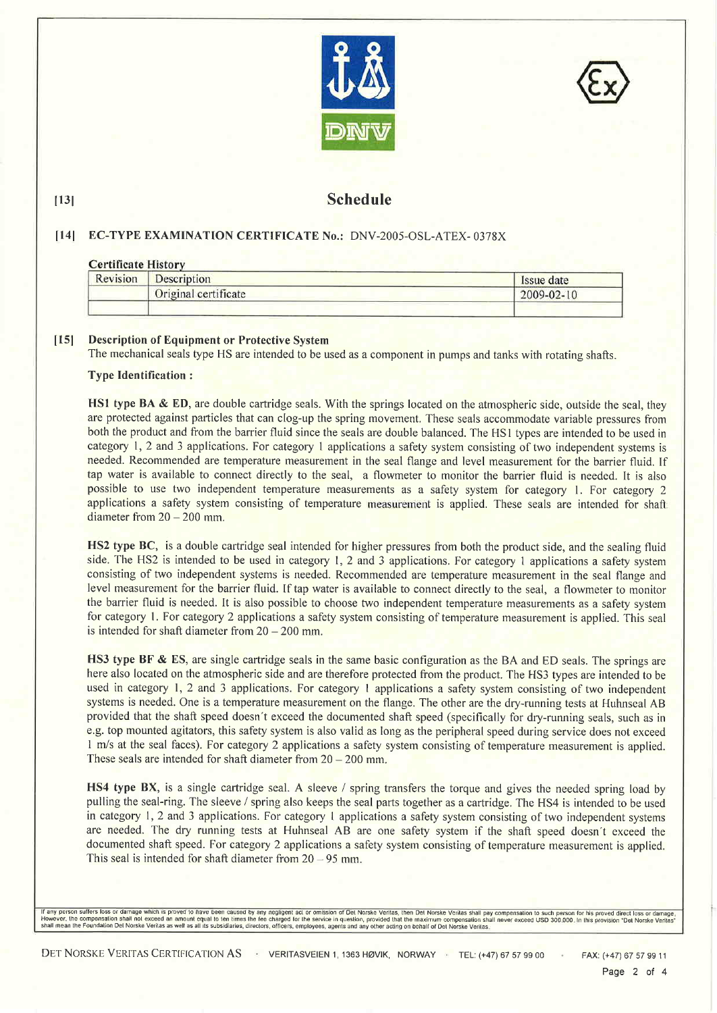



#### **Schedule**

#### [14] EC-TYPE EXAMINATION CERTIFICATE No.: DNV-2005-OSL-ATEX-0378X

#### **Certificate History**

 $|13|$ 

| Revision | <b>Description</b>   | Issue date |
|----------|----------------------|------------|
|          | Original certificate | 2009-02-10 |
|          |                      |            |

#### $[15]$ **Description of Equipment or Protective System**

The mechanical seals type HS are intended to be used as a component in pumps and tanks with rotating shafts.

#### **Type Identification:**

HS1 type BA & ED, are double cartridge seals. With the springs located on the atmospheric side, outside the seal, they are protected against particles that can clog-up the spring movement. These seals accommodate variable pressures from both the product and from the barrier fluid since the seals are double balanced. The HS1 types are intended to be used in category 1, 2 and 3 applications. For category 1 applications a safety system consisting of two independent systems is needed. Recommended are temperature measurement in the seal flange and level measurement for the barrier fluid. If tap water is available to connect directly to the seal, a flowmeter to monitor the barrier fluid is needed. It is also possible to use two independent temperature measurements as a safety system for category 1. For category 2 applications a safety system consisting of temperature measurement is applied. These seals are intended for shaft diameter from  $20 - 200$  mm.

HS2 type BC, is a double cartridge seal intended for higher pressures from both the product side, and the sealing fluid side. The HS2 is intended to be used in category 1, 2 and 3 applications. For category 1 applications a safety system consisting of two independent systems is needed. Recommended are temperature measurement in the seal flange and level measurement for the barrier fluid. If tap water is available to connect directly to the seal, a flowmeter to monitor the barrier fluid is needed. It is also possible to choose two independent temperature measurements as a safety system for category 1. For category 2 applications a safety system consisting of temperature measurement is applied. This seal is intended for shaft diameter from  $20 - 200$  mm.

HS3 type BF & ES, are single cartridge seals in the same basic configuration as the BA and ED seals. The springs are here also located on the atmospheric side and are therefore protected from the product. The HS3 types are intended to be used in category 1, 2 and 3 applications. For category 1 applications a safety system consisting of two independent systems is needed. One is a temperature measurement on the flange. The other are the dry-running tests at Huhnseal AB provided that the shaft speed doesn't exceed the documented shaft speed (specifically for dry-running seals, such as in e.g. top mounted agitators, this safety system is also valid as long as the peripheral speed during service does not exceed 1 m/s at the seal faces). For category 2 applications a safety system consisting of temperature measurement is applied. These seals are intended for shaft diameter from  $20 - 200$  mm.

HS4 type BX, is a single cartridge seal. A sleeve / spring transfers the torque and gives the needed spring load by pulling the seal-ring. The sleeve / spring also keeps the seal parts together as a cartridge. The HS4 is intended to be used in category 1, 2 and 3 applications. For category 1 applications a safety system consisting of two independent systems are needed. The dry running tests at Huhnseal AB are one safety system if the shaft speed doesn't exceed the documented shaft speed. For category 2 applications a safety system consisting of temperature measurement is applied. This seal is intended for shaft diameter from  $20 - 95$  mm.

lf any person suffers loss or damage which is proved to have been caused by any negligent act or omission of Det Norske Veritas, then Det Norske Veritas shall pay compensation to such person for his proved direct loss or d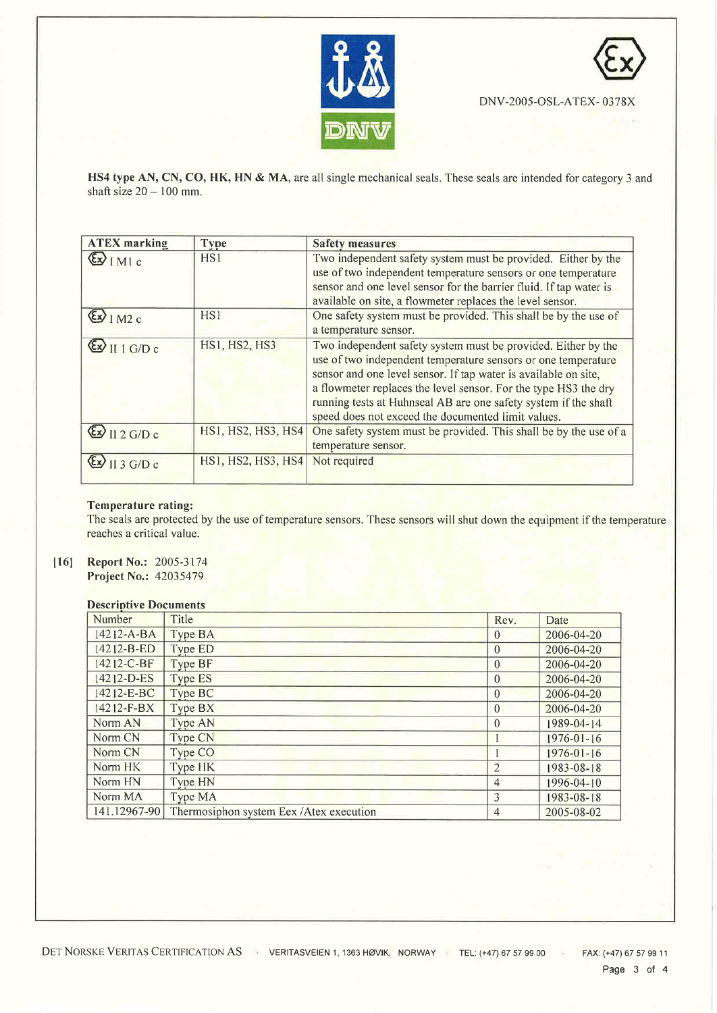



DNV-2005-OSL-ATEX-0378X

HS4 type AN, CN, CO, HK, HN & MA, are all single mechanical seals. These seals are intended for category 3 and shaft size  $20 - 100$  mm.

| <b>ATEX</b> marking                                                             | <b>Type</b>          | <b>Safety measures</b>                                                                                                                                                                                                                                                                                                                                                                        |
|---------------------------------------------------------------------------------|----------------------|-----------------------------------------------------------------------------------------------------------------------------------------------------------------------------------------------------------------------------------------------------------------------------------------------------------------------------------------------------------------------------------------------|
| $\left(\frac{\epsilon}{2}\right)$ [MI c                                         | HS1                  | Two independent safety system must be provided. Either by the<br>use of two independent temperature sensors or one temperature<br>sensor and one level sensor for the barrier fluid. If tap water is<br>available on site, a flowmeter replaces the level sensor.                                                                                                                             |
| $\left(\frac{\mathcal{E} \mathbf{x}}{\mathcal{E} \mathbf{x}}\right)$ [ M2 c     | HS1                  | One safety system must be provided. This shall be by the use of<br>a temperature sensor.                                                                                                                                                                                                                                                                                                      |
| $\left(\frac{\mathcal{E} \mathbf{x}}{\mathcal{E} \mathbf{x}}\right)$ II 1 G/D c | <b>HS1, HS2, HS3</b> | Two independent safety system must be provided. Either by the<br>use of two independent temperature sensors or one temperature<br>sensor and one level sensor. If tap water is available on site,<br>a flowmeter replaces the level sensor. For the type HS3 the dry<br>running tests at Huhnseal AB are one safety system if the shaft<br>speed does not exceed the documented limit values. |
| $\left(\frac{E}{2}\right)$ II 2 G/D c                                           | HS1, HS2, HS3, HS4   | One safety system must be provided. This shall be by the use of a<br>temperature sensor.                                                                                                                                                                                                                                                                                                      |
| $\left(\frac{\mathcal{E} \mathbf{x}}{\mathcal{E} \mathbf{x}}\right)$ [[ 3 G/D c | HS1, HS2, HS3, HS4   | Not required                                                                                                                                                                                                                                                                                                                                                                                  |

#### Temperature rating:

The seals are protected by the use of temperature sensors. These sensors will shut down the equipment if the temperature reaches a critical value.

 $[16]$ Report No.: 2005-3174 Project No.: 42035479

#### **Descriptive Documents**

| Number           | Title                                    | Rev.           | Date             |
|------------------|------------------------------------------|----------------|------------------|
| $14212 - A - BA$ | Type BA                                  | $\theta$       | 2006-04-20       |
| 14212-B-ED       | Type ED                                  | $\theta$       | 2006-04-20       |
| 14212-C-BF       | Type BF                                  | $\Omega$       | 2006-04-20       |
| $14212 - D - ES$ | <b>Type ES</b>                           | $\theta$       | 2006-04-20       |
| 14212-E-BC       | Type BC                                  | $\theta$       | 2006-04-20       |
| $14212 - F-BX$   | Type BX                                  | $\theta$       | 2006-04-20       |
| Norm AN          | Type AN                                  | $\theta$       | 1989-04-14       |
| Norm CN          | <b>Type CN</b>                           |                | $1976 - 01 - 16$ |
| Norm CN          | Type CO                                  |                | $1976 - 01 - 16$ |
| Norm HK          | Type HK                                  | $\overline{2}$ | 1983-08-18       |
| Norm HN          | Type HN                                  | 4              | 1996-04-10       |
| Norm MA          | Type MA                                  | 3              | 1983-08-18       |
| 141.12967-90     | Thermosiphon system Eex / Atex execution | 4              | $2005 - 08 - 02$ |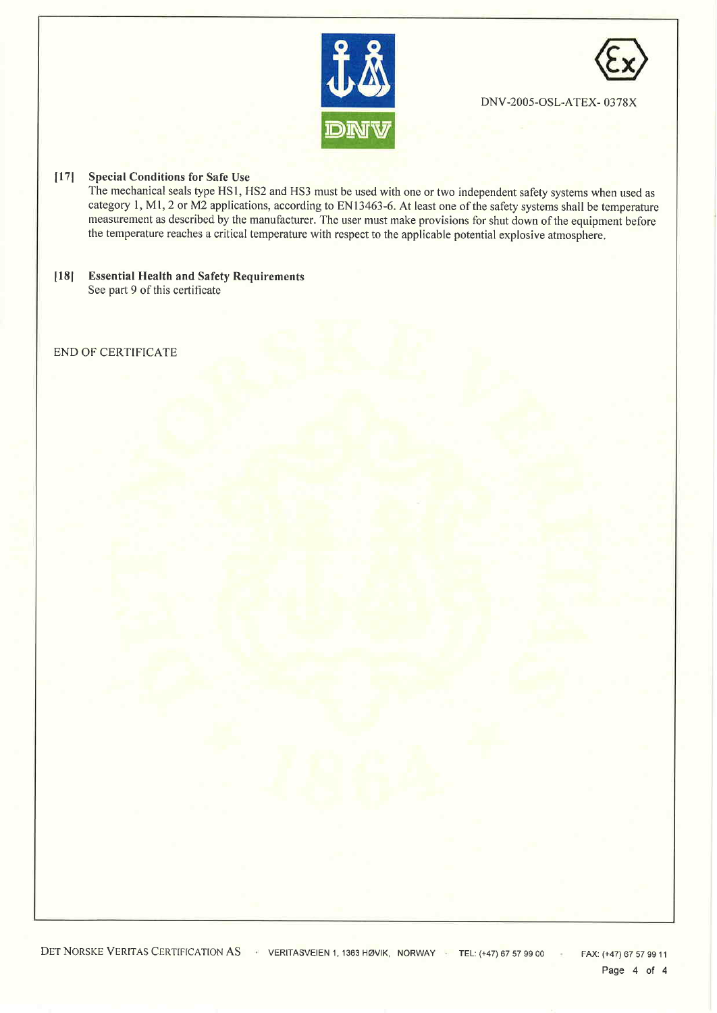



DNV-2005-OSL-ATEX-0378X

#### [17] Special Conditions for Safe Use

The mechanical seals type HS1, HS2 and HS3 must be used with one or two independent safety systems when used as category 1, M1, 2 or M2 applications, according to EN13463-6. At least one of the safety systems shall be temperature measurement as described by the manufacturer. The user must make provisions for shut down of the equipment before the temperature reaches a critical temperature with respect to the applicable potential explosive atmosphere.

 $[18]$ **Essential Health and Safety Requirements** See part 9 of this certificate

#### **END OF CERTIFICATE**

DET NORSKE VERITAS CERTIFICATION AS VERITASVEIEN 1, 1363 HØVIK, NORWAY TEL: (+47) 67 57 99 00 FAX: (+47) 67 57 99 11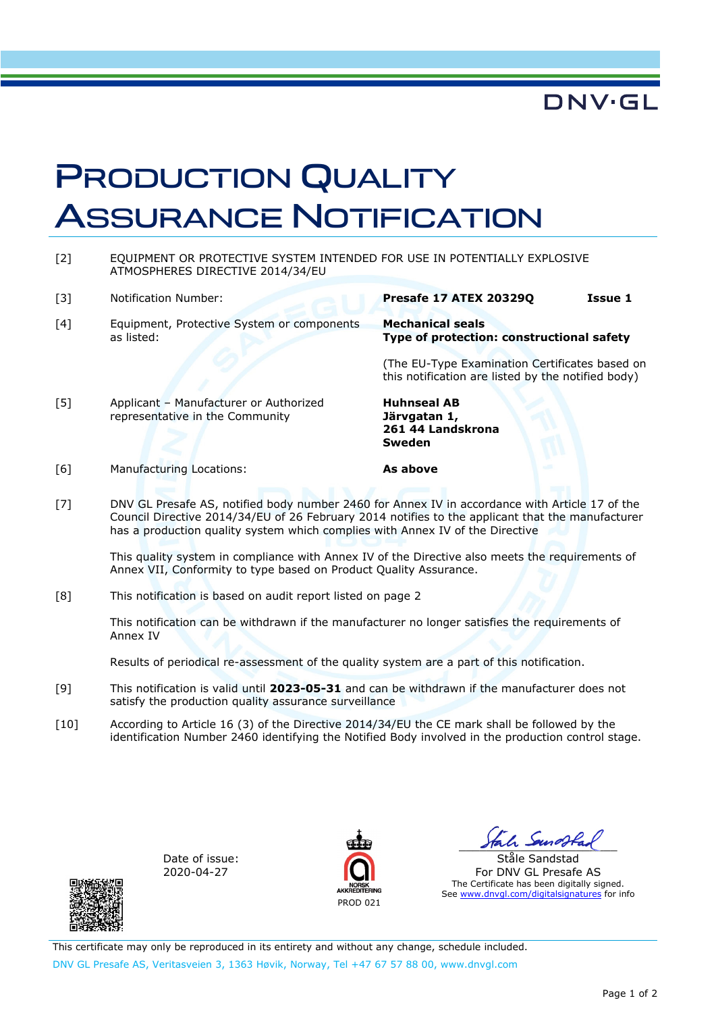### **DNV·GL**

### PRODUCTION QUALITY ASSURANCE NOTIFICATION

- [2] EQUIPMENT OR PROTECTIVE SYSTEM INTENDED FOR USE IN POTENTIALLY EXPLOSIVE ATMOSPHERES DIRECTIVE 2014/34/EU
- 
- [4] Equipment, Protective System or components as listed:

#### [3] Notification Number: **Presafe 17 ATEX 20329Q Issue 1**

**Mechanical seals Type of protection: constructional safety** 

(The EU-Type Examination Certificates based on this notification are listed by the notified body)

[5] Applicant – Manufacturer or Authorized representative in the Community

**Huhnseal AB Järvgatan 1, 261 44 Landskrona Sweden** 

[6] Manufacturing Locations: **As above** 

[7] DNV GL Presafe AS, notified body number 2460 for Annex IV in accordance with Article 17 of the Council Directive 2014/34/EU of 26 February 2014 notifies to the applicant that the manufacturer has a production quality system which complies with Annex IV of the Directive

This quality system in compliance with Annex IV of the Directive also meets the requirements of Annex VII, Conformity to type based on Product Quality Assurance.

[8] This notification is based on audit report listed on page 2

This notification can be withdrawn if the manufacturer no longer satisfies the requirements of Annex IV

Results of periodical re-assessment of the quality system are a part of this notification.

- [9] This notification is valid until **2023-05-31** and can be withdrawn if the manufacturer does not satisfy the production quality assurance surveillance
- [10] According to Article 16 (3) of the Directive 2014/34/EU the CE mark shall be followed by the identification Number 2460 identifying the Notified Body involved in the production control stage.

Date of issue: 2020-04-27



 $I$   $\sim$ 

Ståle Sandstad For DNV GL Presafe AS The Certificate has been digitally signed. See www.dnvgl.com/digitalsignatures for info

This certificate may only be reproduced in its entirety and without any change, schedule included. DNV GL Presafe AS, Veritasveien 3, 1363 Høvik, Norway, Tel +47 67 57 88 00, www.dnvgl.com